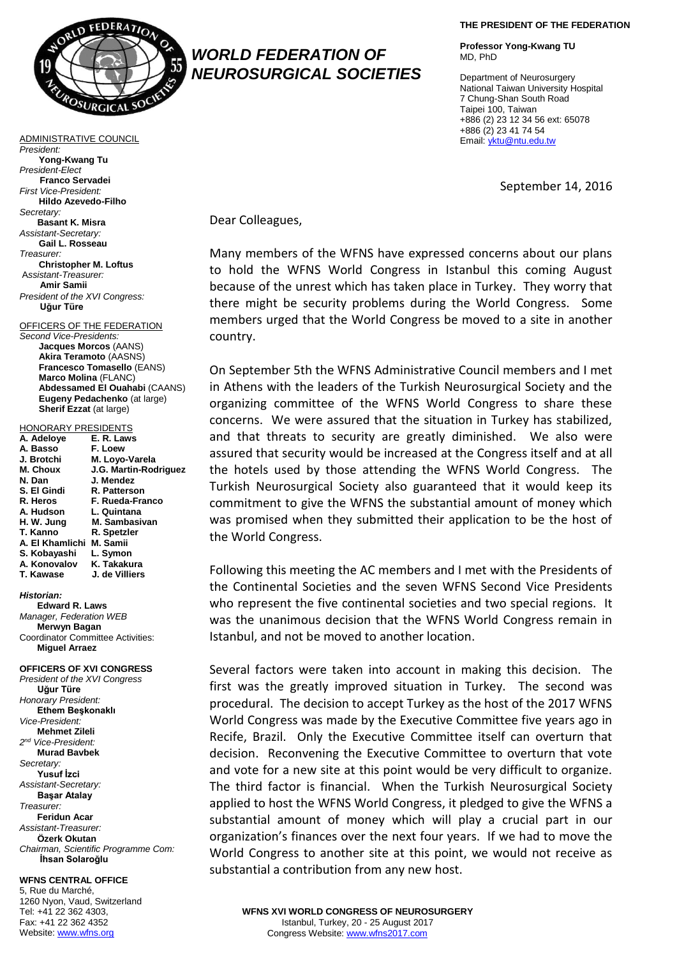

*WORLD FEDERATION OF NEUROSURGICAL SOCIETIES*

ADMINISTRATIVE COUNCIL *President:* **Yong-Kwang Tu** *President-Elect* **Franco Servadei** *First Vice-President:* **Hildo Azevedo-Filho** *Secretary:* **Basant K. Misra** *Assistant-Secretary:* **Gail L. Rosseau** *Treasurer:* **Christopher M. Loftus** A*ssistant-Treasurer:* **Amir Samii** *President of the XVI Congress:* **Uğur Türe**

OFFICERS OF THE FEDERATION *Second Vice-Presidents:* **Jacques Morcos** (AANS) **Akira Teramoto** (AASNS) **Francesco Tomasello** (EANS) **Marco Molina** (FLANC) **Abdessamed El Ouahabi** (CAANS) **Eugeny Pedachenko** (at large) **Sherif Ezzat** (at large)

## HONORARY PRESIDENTS

| A. Adeloye      | E. R. Laws            |
|-----------------|-----------------------|
| A. Basso        | F. Loew               |
| J. Brotchi      | M. Loyo-Varela        |
| M. Choux        | J.G. Martin-Rodriguez |
| N. Dan          | J. Mendez             |
| S. El Gindi     | R. Patterson          |
| R. Heros        | F. Rueda-Franco       |
| A. Hudson       | L. Quintana           |
| H. W. Jung      | M. Sambasivan         |
| T. Kanno        | R. Spetzler           |
| A. El Khamlichi | M. Samii              |
| S. Kobayashi    | L. Symon              |
| A. Konovalov    | K. Takakura           |
| T. Kawase       | J. de Villiers        |
|                 |                       |

## *Historian:*

**Edward R. Laws** *Manager, Federation WEB* **Merwyn Bagan** Coordinator Committee Activities: **Miguel Arraez**

**OFFICERS OF XVI CONGRESS**  *President of the XVI Congress* **Uğur Türe** *Honorary President:* **Ethem Beşkonaklı** *Vice-President:* **Mehmet Zileli** *2 nd Vice-President:* **Murad Bavbek** *Secretary:* **Yusuf İzci** *Assistant-Secretary:* **Başar Atalay** *Treasurer:* **Feridun Acar** *Assistant-Treasurer:* **Özerk Okutan** *Chairman, Scientific Programme Com:*   **İhsan Solaroğlu**

## **WFNS CENTRAL OFFICE** 5, Rue du Marché,

1260 Nyon, Vaud, Switzerland Tel: +41 22 362 4303, Fax: +41 22 362 4352 Website[: www.wfns.org](http://www.wfns.org/)

**THE PRESIDENT OF THE FEDERATION**

**Professor Yong-Kwang TU** MD, PhD

Department of Neurosurgery National Taiwan University Hospital 7 Chung-Shan South Road Taipei 100, Taiwan +886 (2) 23 12 34 56 ext: 65078 +886 (2) 23 41 74 54 Email: [yktu@ntu.edu.tw](mailto:yktu@ntu.edu.tw)

September 14, 2016

Dear Colleagues,

Many members of the WFNS have expressed concerns about our plans to hold the WFNS World Congress in Istanbul this coming August because of the unrest which has taken place in Turkey. They worry that there might be security problems during the World Congress. Some members urged that the World Congress be moved to a site in another country.

On September 5th the WFNS Administrative Council members and I met in Athens with the leaders of the Turkish Neurosurgical Society and the organizing committee of the WFNS World Congress to share these concerns. We were assured that the situation in Turkey has stabilized, and that threats to security are greatly diminished. We also were assured that security would be increased at the Congress itself and at all the hotels used by those attending the WFNS World Congress. The Turkish Neurosurgical Society also guaranteed that it would keep its commitment to give the WFNS the substantial amount of money which was promised when they submitted their application to be the host of the World Congress.

Following this meeting the AC members and I met with the Presidents of the Continental Societies and the seven WFNS Second Vice Presidents who represent the five continental societies and two special regions. It was the unanimous decision that the WFNS World Congress remain in Istanbul, and not be moved to another location.

Several factors were taken into account in making this decision. The first was the greatly improved situation in Turkey. The second was procedural. The decision to accept Turkey as the host of the 2017 WFNS World Congress was made by the Executive Committee five years ago in Recife, Brazil. Only the Executive Committee itself can overturn that decision. Reconvening the Executive Committee to overturn that vote and vote for a new site at this point would be very difficult to organize. The third factor is financial. When the Turkish Neurosurgical Society applied to host the WFNS World Congress, it pledged to give the WFNS a substantial amount of money which will play a crucial part in our organization's finances over the next four years. If we had to move the World Congress to another site at this point, we would not receive as substantial a contribution from any new host.